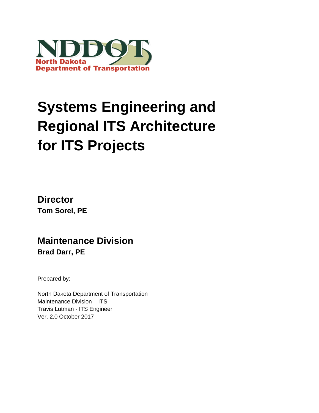

# **Systems Engineering and Regional ITS Architecture for ITS Projects**

**Director Tom Sorel, PE**

**Maintenance Division Brad Darr, PE**

Prepared by:

North Dakota Department of Transportation Maintenance Division – ITS Travis Lutman - ITS Engineer Ver. 2.0 October 2017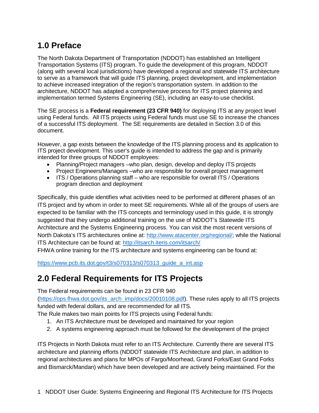# **1.0 Preface**

The North Dakota Department of Transportation (NDDOT) has established an Intelligent Transportation Systems (ITS) program. To guide the development of this program, NDDOT (along with several local jurisdictions) have developed a regional and statewide ITS architecture to serve as a framework that will guide ITS planning, project development, and implementation to achieve increased integration of the region's transportation system. In addition to the architecture, NDDOT has adapted a comprehensive process for ITS project planning and implementation termed Systems Engineering (SE), including an easy-to-use checklist.

The SE process is a **Federal requirement (23 CFR 940)** for deploying ITS at any project level using Federal funds. All ITS projects using Federal funds must use SE to increase the chances of a successful ITS deployment. The SE requirements are detailed in Section 3.0 of this document.

However, a gap exists between the knowledge of the ITS planning process and its application to ITS project development. This user's guide is intended to address the gap and is primarily intended for three groups of NDDOT employees:

- Planning/Project managers –who plan, design, develop and deploy ITS projects
- Project Engineers/Managers –who are responsible for overall project management
- ITS / Operations planning staff who are responsible for overall ITS / Operations program direction and deployment

Specifically, this guide identifies what activities need to be performed at different phases of an ITS project and by whom in order to meet SE requirements. While all of the groups of users are expected to be familiar with the ITS concepts and terminology used in this guide, it is strongly suggested that they undergo additional training on the use of NDDOT's Statewide ITS Architecture and the Systems Engineering process. You can visit the most recent versions of North Dakota's ITS architectures online at: [http://www.atacenter.org/regional/;](http://www.atacenter.org/regional/) while the National ITS Architecture can be found at:<http://itsarch.iteris.com/itsarch/>

FHWA online training for the ITS architecture and systems engineering can be found at:

[https://www.pcb.its.dot.gov/t3/s070313/s070313\\_guide\\_a\\_int.asp](https://www.pcb.its.dot.gov/t3/s070313/s070313_guide_a_int.asp)

# **2.0 Federal Requirements for ITS Projects**

The Federal requirements can be found in 23 CFR 940

[\(https://ops.fhwa.dot.gov/its\\_arch\\_imp/docs/20010108.pdf\)](https://ops.fhwa.dot.gov/its_arch_imp/docs/20010108.pdf). These rules apply to all ITS projects funded with federal dollars, and are recommended for all ITS.

The Rule makes two main points for ITS projects using Federal funds:

- 1. An ITS Architecture must be developed and maintained for your region
- 2. A systems engineering approach must be followed for the development of the project

ITS Projects in North Dakota must refer to an ITS Architecture. Currently there are several ITS architecture and planning efforts (NDDOT statewide ITS Architecture and plan, in addition to regional architectures and plans for MPOs of Fargo/Moorhead, Grand Forks/East Grand Forks and Bismarck/Mandan) which have been developed and are actively being maintained. For the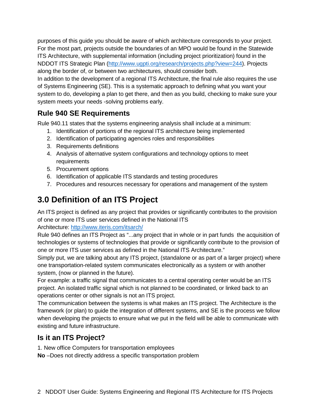purposes of this guide you should be aware of which architecture corresponds to your project. For the most part, projects outside the boundaries of an MPO would be found in the Statewide ITS Architecture, with supplemental information (including project prioritization) found in the NDDOT ITS Strategic Plan [\(http://www.ugpti.org/research/projects.php?view=244\)](http://www.ugpti.org/research/projects.php?view=244). Projects along the border of, or between two architectures, should consider both.

In addition to the development of a regional ITS Architecture, the final rule also requires the use of Systems Engineering (SE). This is a systematic approach to defining what you want your system to do, developing a plan to get there, and then as you build, checking to make sure your system meets your needs -solving problems early.

# **Rule 940 SE Requirements**

Rule 940.11 states that the systems engineering analysis shall include at a minimum:

- 1. Identification of portions of the regional ITS architecture being implemented
- 2. Identification of participating agencies roles and responsibilities
- 3. Requirements definitions
- 4. Analysis of alternative system configurations and technology options to meet requirements
- 5. Procurement options
- 6. Identification of applicable ITS standards and testing procedures
- 7. Procedures and resources necessary for operations and management of the system

# **3.0 Definition of an ITS Project**

An ITS project is defined as any project that provides or significantly contributes to the provision of one or more ITS user services defined in the National ITS

Architecture:<http://www.iteris.com/itsarch/>

Rule 940 defines an ITS Project as "...any project that in whole or in part funds the acquisition of technologies or systems of technologies that provide or significantly contribute to the provision of one or more ITS user services as defined in the National ITS Architecture."

Simply put, we are talking about any ITS project, (standalone or as part of a larger project) where one transportation-related system communicates electronically as a system or with another system, (now or planned in the future).

For example: a traffic signal that communicates to a central operating center would be an ITS project. An isolated traffic signal which is not planned to be coordinated, or linked back to an operations center or other signals is not an ITS project.

The communication between the systems is what makes an ITS project. The Architecture is the framework (or plan) to guide the integration of different systems, and SE is the process we follow when developing the projects to ensure what we put in the field will be able to communicate with existing and future infrastructure.

# **Is it an ITS Project?**

1. New office Computers for transportation employees

**No** –Does not directly address a specific transportation problem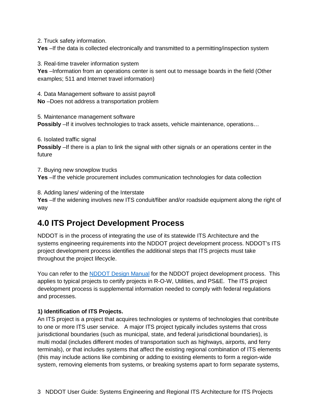2. Truck safety information.

Yes -If the data is collected electronically and transmitted to a permitting/inspection system

3. Real-time traveler information system

**Yes** –Information from an operations center is sent out to message boards in the field (Other examples; 511 and Internet travel information)

4. Data Management software to assist payroll **No** –Does not address a transportation problem

5. Maintenance management software **Possibly** –If it involves technologies to track assets, vehicle maintenance, operations...

6. Isolated traffic signal **Possibly** –If there is a plan to link the signal with other signals or an operations center in the future

7. Buying new snowplow trucks **Yes** –If the vehicle procurement includes communication technologies for data collection

8. Adding lanes/ widening of the Interstate

**Yes** –If the widening involves new ITS conduit/fiber and/or roadside equipment along the right of way

# **4.0 ITS Project Development Process**

NDDOT is in the process of integrating the use of its statewide ITS Architecture and the systems engineering requirements into the NDDOT project development process. NDDOT's ITS project development process identifies the additional steps that ITS projects must take throughout the project lifecycle.

You can refer to the [NDDOT Design Manual](http://www.dot.nd.gov/manuals/design/designmanual/designmanual.htm) for the NDDOT project development process. This applies to typical projects to certify projects in R-O-W, Utilities, and PS&E. The ITS project development process is supplemental information needed to comply with federal regulations and processes.

#### **1) Identification of ITS Projects.**

An ITS project is a project that acquires technologies or systems of technologies that contribute to one or more ITS user service. A major ITS project typically includes systems that cross jurisdictional boundaries (such as municipal, state, and federal jurisdictional boundaries), is multi modal (includes different modes of transportation such as highways, airports, and ferry terminals), or that includes systems that affect the existing regional combination of ITS elements (this may include actions like combining or adding to existing elements to form a region-wide system, removing elements from systems, or breaking systems apart to form separate systems,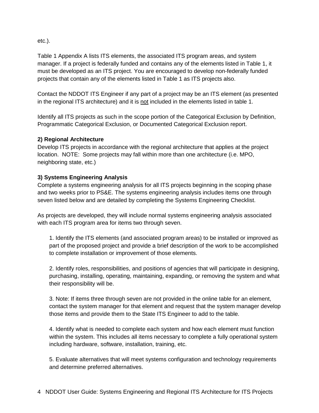etc.).

Table 1 Appendix A lists ITS elements, the associated ITS program areas, and system manager. If a project is federally funded and contains any of the elements listed in Table 1, it must be developed as an ITS project. You are encouraged to develop non-federally funded projects that contain any of the elements listed in Table 1 as ITS projects also.

Contact the NDDOT ITS Engineer if any part of a project may be an ITS element (as presented in the regional ITS architecture) and it is not included in the elements listed in table 1.

Identify all ITS projects as such in the scope portion of the Categorical Exclusion by Definition, Programmatic Categorical Exclusion, or Documented Categorical Exclusion report.

#### **2) Regional Architecture**

Develop ITS projects in accordance with the regional architecture that applies at the project location. NOTE: Some projects may fall within more than one architecture (i.e. MPO, neighboring state, etc.)

#### **3) Systems Engineering Analysis**

Complete a systems engineering analysis for all ITS projects beginning in the scoping phase and two weeks prior to PS&E. The systems engineering analysis includes items one through seven listed below and are detailed by completing the Systems Engineering Checklist.

As projects are developed, they will include normal systems engineering analysis associated with each ITS program area for items two through seven.

1. Identify the ITS elements (and associated program areas) to be installed or improved as part of the proposed project and provide a brief description of the work to be accomplished to complete installation or improvement of those elements.

2. Identify roles, responsibilities, and positions of agencies that will participate in designing, purchasing, installing, operating, maintaining, expanding, or removing the system and what their responsibility will be.

3. Note: If items three through seven are not provided in the online table for an element, contact the system manager for that element and request that the system manager develop those items and provide them to the State ITS Engineer to add to the table.

4. Identify what is needed to complete each system and how each element must function within the system. This includes all items necessary to complete a fully operational system including hardware, software, installation, training, etc.

5. Evaluate alternatives that will meet systems configuration and technology requirements and determine preferred alternatives.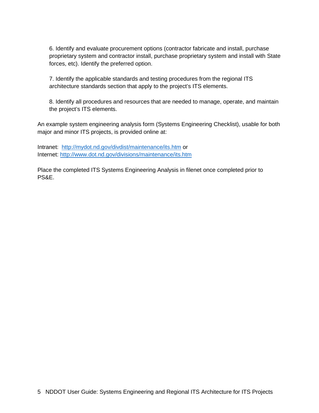6. Identify and evaluate procurement options (contractor fabricate and install, purchase proprietary system and contractor install, purchase proprietary system and install with State forces, etc). Identify the preferred option.

7. Identify the applicable standards and testing procedures from the regional ITS architecture standards section that apply to the project's ITS elements.

8. Identify all procedures and resources that are needed to manage, operate, and maintain the project's ITS elements.

An example system engineering analysis form (Systems Engineering Checklist), usable for both major and minor ITS projects, is provided online at:

Intranet: <http://mydot.nd.gov/divdist/maintenance/its.htm> or Internet:<http://www.dot.nd.gov/divisions/maintenance/its.htm>

Place the completed ITS Systems Engineering Analysis in filenet once completed prior to PS&E.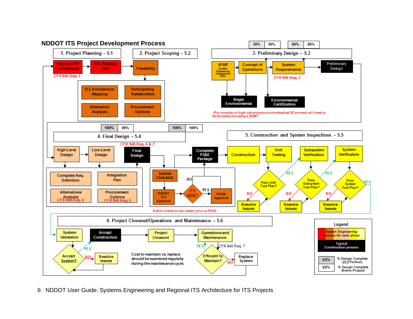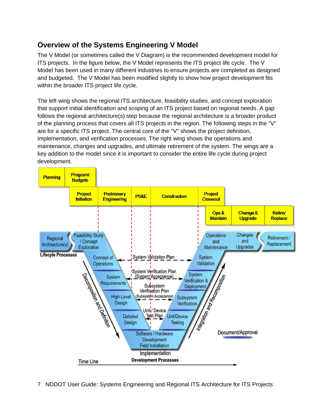# **Overview of the Systems Engineering V Model**

The V Model (or sometimes called the V Diagram) is the recommended development model for ITS projects. In the figure below, the V Model represents the ITS project life cycle. The V Model has been used in many different industries to ensure projects are completed as designed and budgeted. The V Model has been modified slightly to show how project development fits within the broader ITS project life cycle.

The left wing shows the regional ITS architecture, feasibility studies, and concept exploration that support initial identification and scoping of an ITS project based on regional needs. A gap follows the regional architecture(s) step because the regional architecture is a broader product of the planning process that covers all ITS projects in the region. The following steps in the "V" are for a specific ITS project. The central core of the "V" shows the project definition, implementation, and verification processes. The right wing shows the operations and maintenance, changes and upgrades, and ultimate retirement of the system. The wings are a key addition to the model since it is important to consider the entire life cycle during project development.

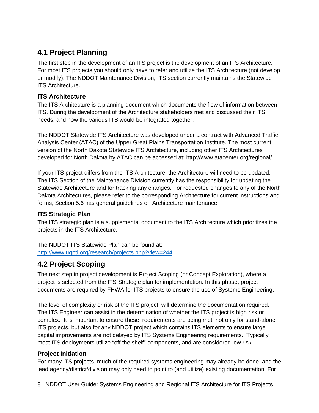# **4.1 Project Planning**

The first step in the development of an ITS project is the development of an ITS Architecture. For most ITS projects you should only have to refer and utilize the ITS Architecture (not develop or modify). The NDDOT Maintenance Division, ITS section currently maintains the Statewide ITS Architecture.

#### **ITS Architecture**

The ITS Architecture is a planning document which documents the flow of information between ITS. During the development of the Architecture stakeholders met and discussed their ITS needs, and how the various ITS would be integrated together.

The NDDOT Statewide ITS Architecture was developed under a contract with Advanced Traffic Analysis Center (ATAC) of the Upper Great Plains Transportation Institute. The most current version of the North Dakota Statewide ITS Architecture, including other ITS Architectures developed for North Dakota by ATAC can be accessed at: http://www.atacenter.org/regional/

If your ITS project differs from the ITS Architecture, the Architecture will need to be updated. The ITS Section of the Maintenance Division currently has the responsibility for updating the Statewide Architecture and for tracking any changes. For requested changes to any of the North Dakota Architectures, please refer to the corresponding Architecture for current instructions and forms, Section 5.6 has general guidelines on Architecture maintenance.

#### **ITS Strategic Plan**

The ITS strategic plan is a supplemental document to the ITS Architecture which prioritizes the projects in the ITS Architecture.

The NDDOT ITS Statewide Plan can be found at:

<http://www.ugpti.org/research/projects.php?view=244>

## **4.2 Project Scoping**

The next step in project development is Project Scoping (or Concept Exploration), where a project is selected from the ITS Strategic plan for implementation. In this phase, project documents are required by FHWA for ITS projects to ensure the use of Systems Engineering.

The level of complexity or risk of the ITS project, will determine the documentation required. The ITS Engineer can assist in the determination of whether the ITS project is high risk or complex. It is important to ensure these requirements are being met, not only for stand-alone ITS projects, but also for any NDDOT project which contains ITS elements to ensure large capital improvements are not delayed by ITS Systems Engineering requirements. Typically most ITS deployments utilize "off the shelf" components, and are considered low risk.

#### **Project Initiation**

For many ITS projects, much of the required systems engineering may already be done, and the lead agency/district/division may only need to point to (and utilize) existing documentation. For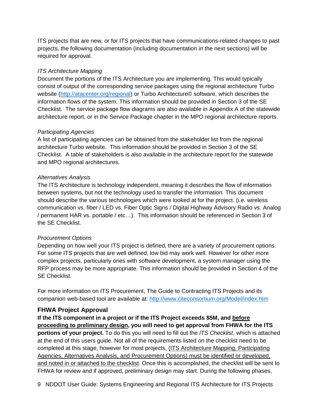ITS projects that are new, or for ITS projects that have communications-related changes to past projects, the following documentation (including documentation in the next sections) will be required for approval.

#### *ITS Architecture Mapping*

Document the portions of the ITS Architecture you are implementing. This would typically consist of output of the corresponding service packages using the regional architecture Turbo website [\(http://atacenter.org/regional\)](http://atacenter.org/regional) or Turbo Architecture© software, which describes the information flows of the system. This information should be provided in Section 3 of the SE Checklist. The service package flow diagrams are also available in Appendix A of the statewide architecture report, or in the Service Package chapter in the MPO regional architecture reports.

#### *Participating Agencies*

A list of participating agencies can be obtained from the stakeholder list from the regional architecture Turbo website. This information should be provided in Section 3 of the SE Checklist. A table of stakeholders is also available in the architecture report for the statewide and MPO regional architectures.

#### *Alternatives Analysis*

The ITS Architecture is technology independent, meaning it describes the flow of information between systems, but not the technology used to transfer the information. This document should describe the various technologies which were looked at for the project. (i.e. wireless communication vs. fiber / LED vs. Fiber Optic Signs / Digital Highway Advisory Radio vs. Analog / permanent HAR vs. portable / etc…). This information should be referenced in Section 3 of the SE Checklist.

#### *Procurement Options*

Depending on how well your ITS project is defined, there are a variety of procurement options. For some ITS projects that are well defined, low bid may work well. However for other more complex projects, particularly ones with software development, a system manager using the RFP process may be more appropriate. This information should be provided in Section 4 of the SE Checklist.

For more information on ITS Procurement, The Guide to Contracting ITS Projects and its companion web-based tool are available at:<http://www.citeconsortium.org/Model/index.htm>

#### **FHWA Project Approval**

**If the ITS component in a project or if the ITS Project exceeds \$5M, and before proceeding to preliminary design, you will need to get approval from FHWA for the ITS portions of your project.** To do this you will need to fill out the *ITS Checklist*, which is attached at the end of this users guide. Not all of the requirements listed on the checklist need to be completed at this stage, however for most projects, (ITS Architecture Mapping, Participating Agencies, Alternatives Analysis, and Procurement Options) must be identified or developed, and noted in or attached to the checklist. Once this is accomplished, the checklist will be sent to FHWA for review and if approved, preliminary design may start. During the following phases,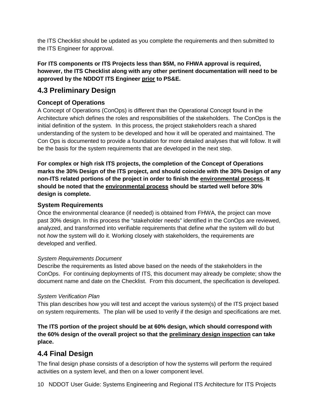the ITS Checklist should be updated as you complete the requirements and then submitted to the ITS Engineer for approval.

#### **For ITS components or ITS Projects less than \$5M, no FHWA approval is required, however, the ITS Checklist along with any other pertinent documentation will need to be approved by the NDDOT ITS Engineer prior to PS&E.**

## **4.3 Preliminary Design**

#### **Concept of Operations**

A Concept of Operations (ConOps) is different than the Operational Concept found in the Architecture which defines the roles and responsibilities of the stakeholders. The ConOps is the initial definition of the system. In this process, the project stakeholders reach a shared understanding of the system to be developed and how it will be operated and maintained. The Con Ops is documented to provide a foundation for more detailed analyses that will follow. It will be the basis for the system requirements that are developed in the next step.

**For complex or high risk ITS projects, the completion of the Concept of Operations marks the 30% Design of the ITS project, and should coincide with the 30% Design of any non-ITS related portions of the project in order to finish the environmental process. It should be noted that the environmental process should be started well before 30% design is complete.**

#### **System Requirements**

Once the environmental clearance (if needed) is obtained from FHWA, the project can move past 30% design. In this process the "stakeholder needs" identified in the ConOps are reviewed, analyzed, and transformed into verifiable requirements that define *what* the system will do but not *how* the system will do it. Working closely with stakeholders, the requirements are developed and verified.

#### *System Requirements Document*

Describe the requirements as listed above based on the needs of the stakeholders in the ConOps. For continuing deployments of ITS, this document may already be complete; show the document name and date on the Checklist. From this document, the specification is developed.

#### *System Verification Plan*

This plan describes how you will test and accept the various system(s) of the ITS project based on system requirements. The plan will be used to verify if the design and specifications are met.

**The ITS portion of the project should be at 60% design, which should correspond with the 60% design of the overall project so that the preliminary design inspection can take place.**

# **4.4 Final Design**

The final design phase consists of a description of how the systems will perform the required activities on a system level, and then on a lower component level.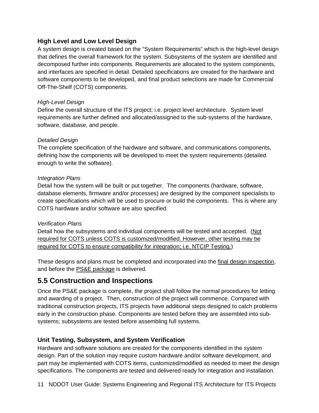#### **High Level and Low Level Design**

A system design is created based on the "System Requirements" which is the high-level design that defines the overall framework for the system. Subsystems of the system are identified and decomposed further into components. Requirements are allocated to the system components, and interfaces are specified in detail. Detailed specifications are created for the hardware and software components to be developed, and final product selections are made for Commercial Off-The-Shelf (COTS) components.

#### *High-Level Design*

Define the overall structure of the ITS project; i.e. project level architecture. System level requirements are further defined and allocated/assigned to the sub-systems of the hardware, software, database, and people.

#### *Detailed Design*

The complete specification of the hardware and software, and communications components, defining how the components will be developed to meet the system requirements (detailed enough to write the software).

#### *Integration Plans*

Detail how the system will be built or put together. The components (hardware, software, database elements, firmware and/or processes) are designed by the component specialists to create specifications which will be used to procure or build the components. This is where any COTS hardware and/or software are also specified.

#### *Verification Plans*

Detail how the subsystems and individual components will be tested and accepted. (Not required for COTS unless COTS is customized/modified. However, other testing may be required for COTS to ensure compatibility for integration; i.e. NTCIP Testing.)

These designs and plans must be completed and incorporated into the final design inspection, and before the **PS&E** package is delivered.

### **5.5 Construction and Inspections**

Once the PS&E package is complete, the project shall follow the normal procedures for letting and awarding of a project. Then, construction of the project will commence. Compared with traditional construction projects, ITS projects have additional steps designed to catch problems early in the construction phase. Components are tested before they are assembled into subsystems; subsystems are tested before assembling full systems.

#### **Unit Testing, Subsystem, and System Verification**

Hardware and software solutions are created for the components identified in the system design. Part of the solution may require custom hardware and/or software development, and part may be implemented with COTS items, customized/modified as needed to meet the design specifications. The components are tested and delivered ready for integration and installation.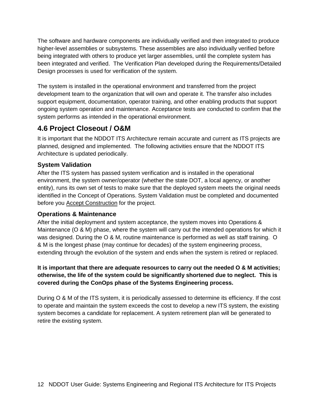The software and hardware components are individually verified and then integrated to produce higher-level assemblies or subsystems. These assemblies are also individually verified before being integrated with others to produce yet larger assemblies, until the complete system has been integrated and verified. The Verification Plan developed during the Requirements/Detailed Design processes is used for verification of the system.

The system is installed in the operational environment and transferred from the project development team to the organization that will own and operate it. The transfer also includes support equipment, documentation, operator training, and other enabling products that support ongoing system operation and maintenance. Acceptance tests are conducted to confirm that the system performs as intended in the operational environment.

# **4.6 Project Closeout / O&M**

It is important that the NDDOT ITS Architecture remain accurate and current as ITS projects are planned, designed and implemented. The following activities ensure that the NDDOT ITS Architecture is updated periodically.

#### **System Validation**

After the ITS system has passed system verification and is installed in the operational environment, the system owner/operator (whether the state DOT, a local agency, or another entity), runs its own set of tests to make sure that the deployed system meets the original needs identified in the Concept of Operations. System Validation must be completed and documented before you Accept Construction for the project.

#### **Operations & Maintenance**

After the initial deployment and system acceptance, the system moves into Operations & Maintenance (O & M) phase, where the system will carry out the intended operations for which it was designed. During the O & M, routine maintenance is performed as well as staff training. O & M is the longest phase (may continue for decades) of the system engineering process, extending through the evolution of the system and ends when the system is retired or replaced.

#### **It is important that there are adequate resources to carry out the needed O & M activities; otherwise, the life of the system could be significantly shortened due to neglect. This is covered during the ConOps phase of the Systems Engineering process.**

During O & M of the ITS system, it is periodically assessed to determine its efficiency. If the cost to operate and maintain the system exceeds the cost to develop a new ITS system, the existing system becomes a candidate for replacement. A system retirement plan will be generated to retire the existing system.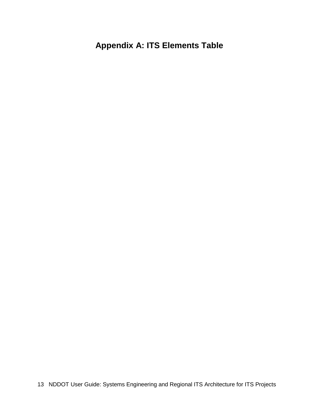# **Appendix A: ITS Elements Table**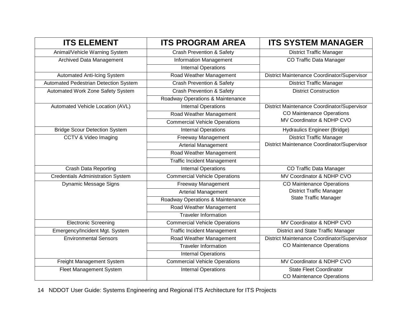| <b>ITS ELEMENT</b>                       | <b>ITS PROGRAM AREA</b>              | <b>ITS SYSTEM MANAGER</b>                                                       |
|------------------------------------------|--------------------------------------|---------------------------------------------------------------------------------|
| Animal/Vehicle Warning System            | <b>Crash Prevention &amp; Safety</b> | <b>District Traffic Manager</b>                                                 |
| Archived Data Management                 | <b>Information Management</b>        | CO Traffic Data Manager                                                         |
|                                          | <b>Internal Operations</b>           |                                                                                 |
| <b>Automated Anti-Icing System</b>       | Road Weather Management              | District Maintenance Coordinator/Supervisor                                     |
| Automated Pedestrian Detection System    | <b>Crash Prevention &amp; Safety</b> | <b>District Traffic Manager</b>                                                 |
| Automated Work Zone Safety System        | <b>Crash Prevention &amp; Safety</b> | <b>District Construction</b>                                                    |
|                                          | Roadway Operations & Maintenance     |                                                                                 |
| Automated Vehicle Location (AVL)         | <b>Internal Operations</b>           | District Maintenance Coordinator/Supervisor                                     |
|                                          | Road Weather Management              | <b>CO Maintenance Operations</b>                                                |
|                                          | <b>Commercial Vehicle Operations</b> | MV Coordinator & NDHP CVO                                                       |
| <b>Bridge Scour Detection System</b>     | <b>Internal Operations</b>           | Hydraulics Engineer (Bridge)                                                    |
| CCTV & Video Imaging                     | <b>Freeway Management</b>            | <b>District Traffic Manager</b>                                                 |
|                                          | <b>Arterial Management</b>           | District Maintenance Coordinator/Supervisor                                     |
|                                          | Road Weather Management              |                                                                                 |
|                                          | <b>Traffic Incident Management</b>   |                                                                                 |
| <b>Crash Data Reporting</b>              | <b>Internal Operations</b>           | CO Traffic Data Manager                                                         |
| <b>Credentials Administration System</b> | <b>Commercial Vehicle Operations</b> | MV Coordinator & NDHP CVO                                                       |
| <b>Dynamic Message Signs</b>             | <b>Freeway Management</b>            | <b>CO Maintenance Operations</b><br><b>District Traffic Manager</b>             |
|                                          | <b>Arterial Management</b>           |                                                                                 |
|                                          | Roadway Operations & Maintenance     | <b>State Traffic Manager</b>                                                    |
|                                          | Road Weather Management              |                                                                                 |
|                                          | <b>Traveler Information</b>          |                                                                                 |
| <b>Electronic Screening</b>              | <b>Commercial Vehicle Operations</b> | MV Coordinator & NDHP CVO                                                       |
| Emergency/Incident Mgt. System           | <b>Traffic Incident Management</b>   | District and State Traffic Manager                                              |
| <b>Environmental Sensors</b>             | Road Weather Management              | District Maintenance Coordinator/Supervisor<br><b>CO Maintenance Operations</b> |
|                                          | <b>Traveler Information</b>          |                                                                                 |
|                                          | <b>Internal Operations</b>           |                                                                                 |
| Freight Management System                | <b>Commercial Vehicle Operations</b> | MV Coordinator & NDHP CVO                                                       |
| <b>Fleet Management System</b>           | <b>Internal Operations</b>           | <b>State Fleet Coordinator</b>                                                  |
|                                          |                                      | <b>CO Maintenance Operations</b>                                                |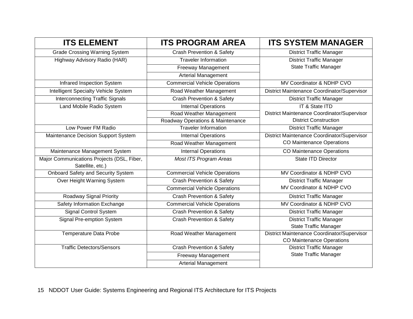| <b>ITS ELEMENT</b>                          | <b>ITS PROGRAM AREA</b>              | <b>ITS SYSTEM MANAGER</b>                   |
|---------------------------------------------|--------------------------------------|---------------------------------------------|
| <b>Grade Crossing Warning System</b>        | <b>Crash Prevention &amp; Safety</b> | <b>District Traffic Manager</b>             |
| Highway Advisory Radio (HAR)                | <b>Traveler Information</b>          | <b>District Traffic Manager</b>             |
|                                             | Freeway Management                   | <b>State Traffic Manager</b>                |
|                                             | <b>Arterial Management</b>           |                                             |
| Infrared Inspection System                  | <b>Commercial Vehicle Operations</b> | MV Coordinator & NDHP CVO                   |
| <b>Intelligent Specialty Vehicle System</b> | Road Weather Management              | District Maintenance Coordinator/Supervisor |
| <b>Interconnecting Traffic Signals</b>      | <b>Crash Prevention &amp; Safety</b> | <b>District Traffic Manager</b>             |
| Land Mobile Radio System                    | <b>Internal Operations</b>           | IT & State ITD                              |
|                                             | Road Weather Management              | District Maintenance Coordinator/Supervisor |
|                                             | Roadway Operations & Maintenance     | <b>District Construction</b>                |
| Low Power FM Radio                          | <b>Traveler Information</b>          | <b>District Traffic Manager</b>             |
| Maintenance Decision Support System         | <b>Internal Operations</b>           | District Maintenance Coordinator/Supervisor |
|                                             | Road Weather Management              | <b>CO Maintenance Operations</b>            |
| Maintenance Management System               | <b>Internal Operations</b>           | <b>CO Maintenance Operations</b>            |
| Major Communications Projects (DSL, Fiber,  | Most ITS Program Areas               | State ITD Director                          |
| Satellite, etc.)                            |                                      |                                             |
| <b>Onboard Safety and Security System</b>   | <b>Commercial Vehicle Operations</b> | MV Coordinator & NDHP CVO                   |
| Over Height Warning System                  | <b>Crash Prevention &amp; Safety</b> | <b>District Traffic Manager</b>             |
|                                             | <b>Commercial Vehicle Operations</b> | MV Coordinator & NDHP CVO                   |
| Roadway Signal Priority                     | <b>Crash Prevention &amp; Safety</b> | <b>District Traffic Manager</b>             |
| Safety Information Exchange                 | <b>Commercial Vehicle Operations</b> | MV Coordinator & NDHP CVO                   |
| <b>Signal Control System</b>                | <b>Crash Prevention &amp; Safety</b> | <b>District Traffic Manager</b>             |
| Signal Pre-emption System                   | <b>Crash Prevention &amp; Safety</b> | <b>District Traffic Manager</b>             |
|                                             |                                      | <b>State Traffic Manager</b>                |
| <b>Temperature Data Probe</b>               | Road Weather Management              | District Maintenance Coordinator/Supervisor |
|                                             |                                      | <b>CO Maintenance Operations</b>            |
| <b>Traffic Detectors/Sensors</b>            | Crash Prevention & Safety            | <b>District Traffic Manager</b>             |
|                                             | <b>Freeway Management</b>            | <b>State Traffic Manager</b>                |
|                                             | <b>Arterial Management</b>           |                                             |